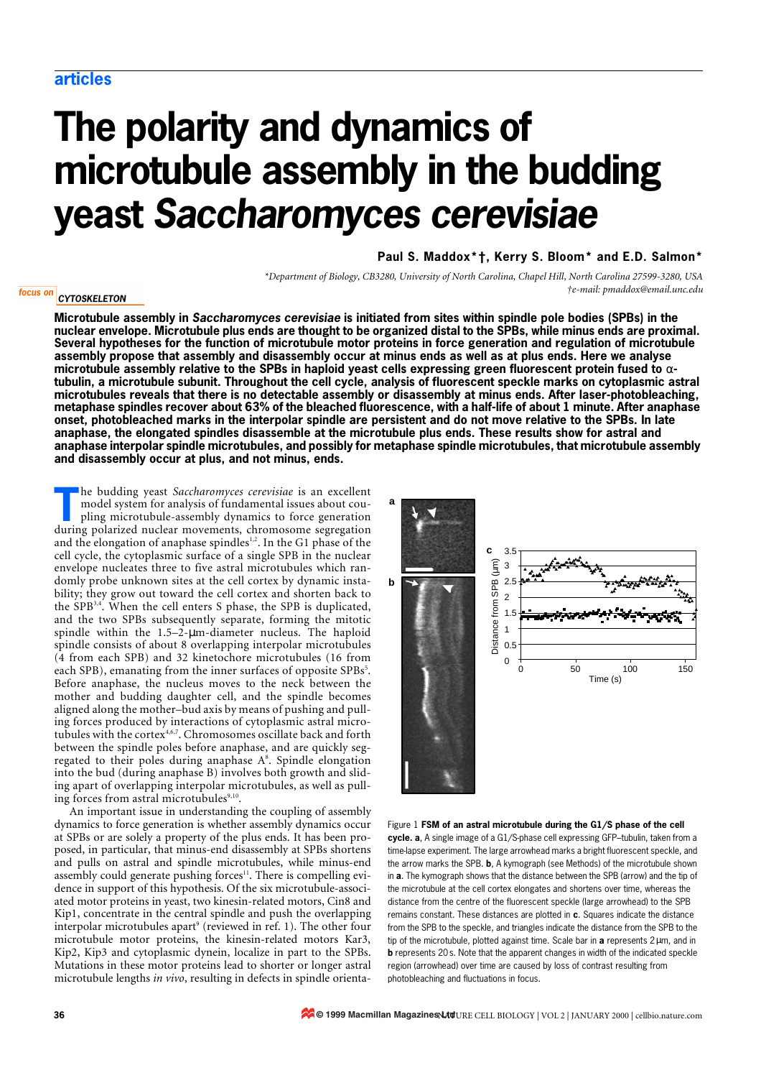# **The polarity and dynamics of microtubule assembly in the budding yeast** *Saccharomyces cerevisiae*

# **Paul S. Maddox[\\*](#page-0-0)[†](#page-0-1), Kerry S. Bloom[\\*](#page-0-0) and E.D. Salmon[\\*](#page-0-0)**

*\*Department of Biology, CB3280, University of North Carolina, Chapel Hill, North Carolina 27599-3280, USA †e-mail: pmaddox@email.unc.edu*

#### <span id="page-0-0"></span>focus on **CYTOSKELETON**

<span id="page-0-1"></span>**Microtubule assembly in** *Saccharomyces cerevisiae* **is initiated from sites within spindle pole bodies (SPBs) in the nuclear envelope. Microtubule plus ends are thought to be organized distal to the SPBs, while minus ends are proximal. Several hypotheses for the function of microtubule motor proteins in force generation and regulation of microtubule assembly propose that assembly and disassembly occur at minus ends as well as at plus ends. Here we analyse microtubule assembly relative to the SPBs in haploid yeast cells expressing green fluorescent protein fused to** α**tubulin, a microtubule subunit. Throughout the cell cycle, analysis of fluorescent speckle marks on cytoplasmic astral microtubules reveals that there is no detectable assembly or disassembly at minus ends. After laser-photobleaching, metaphase spindles recover about 63% of the bleached fluorescence, with a half-life of about 1 minute. After anaphase onset, photobleached marks in the interpolar spindle are persistent and do not move relative to the SPBs. In late anaphase, the elongated spindles disassemble at the microtubule plus ends. These results show for astral and anaphase interpolar spindle microtubules, and possibly for metaphase spindle microtubules, that microtubule assembly and disassembly occur at plus, and not minus, ends.**

he budding yeast *Saccharomyces cerevisiae* is an excellent model system for analysis of fundamental issues about coupling microtubule-assembly dynamics to force generation The budding yeast *Saccharomyces cerevisiae* is an excellent model system for analysis of fundamental issues about coupling microtubule-assembly dynamics to force generation during polarized nuclear movements, chromosome s and the elongation of anaphase spindles<sup>1,2</sup>. In the G1 phase of the cell cycle, the cytoplasmic surface of a single SPB in the nuclear envelope nucleates three to five astral microtubules which randomly probe unknown sites at the cell cortex by dynamic instability; they grow out toward the cell cortex and shorten back to the SPB3,4. When the cell enters S phase, the SPB is duplicated, and the two SPBs subsequently separate, forming the mitotic spindle within the 1.5–2-µm-diameter nucleus. The haploid spindle consists of about 8 overlapping interpolar microtubules (4 from each SPB) and 32 kinetochore microtubules (16 from each SPB), emanating from the inner surfaces of opposite SPBs<sup>5</sup>. Before anaphase, the nucleus moves to the neck between the mother and budding daughter cell, and the spindle becomes aligned along the mother–bud axis by means of pushing and pulling forces produced by interactions of cytoplasmic astral microtubules with the cortex<sup>4,6,7</sup>. Chromosomes oscillate back and forth between the spindle poles before anaphase, and are quickly segregated to their poles during anaphase A<sup>8</sup>. Spindle elongation into the bud (during anaphase B) involves both growth and sliding apart of overlapping interpolar microtubules, as well as pulling forces from astral microtubules<sup>9,10</sup>.

An important issue in understanding the coupling of assembly dynamics to force generation is whether assembly dynamics occur at SPBs or are solely a property of the plus ends. It has been proposed, in particular, that minus-end disassembly at SPBs shortens and pulls on astral and spindle microtubules, while minus-end assembly could generate pushing forces<sup>11</sup>. There is compelling evidence in support of this hypothesis. Of the six microtubule-associated motor proteins in yeast, two kinesin-related motors, Cin8 and Kip1, concentrate in the central spindle and push the overlapping interpolar microtubules apart $^{\circ}$  (reviewed in [ref. 1\)](#page-5-0). The other four microtubule motor proteins, the kinesin-related motors Kar3, Kip2, Kip3 and cytoplasmic dynein, localize in part to the SPBs. Mutations in these motor proteins lead to shorter or longer astral microtubule lengths *in vivo*, resulting in defects in spindle orienta-



Figure 1 **FSM of an astral microtubule during the G1/S phase of the cell cycle. a**, A single image of a G1/S-phase cell expressing GFP–tubulin, taken from a time-lapse experiment. The large arrowhead marks a bright fluorescent speckle, and the arrow marks the SPB. **b**, A kymograph (see Methods) of the microtubule shown in **a**. The kymograph shows that the distance between the SPB (arrow) and the tip of the microtubule at the cell cortex elongates and shortens over time, whereas the distance from the centre of the fluorescent speckle (large arrowhead) to the SPB remains constant. These distances are plotted in **c**. Squares indicate the distance from the SPB to the speckle, and triangles indicate the distance from the SPB to the tip of the microtubule, plotted against time. Scale bar in **a** represents 2µm, and in **b** represents 20s. Note that the apparent changes in width of the indicated speckle region (arrowhead) over time are caused by loss of contrast resulting from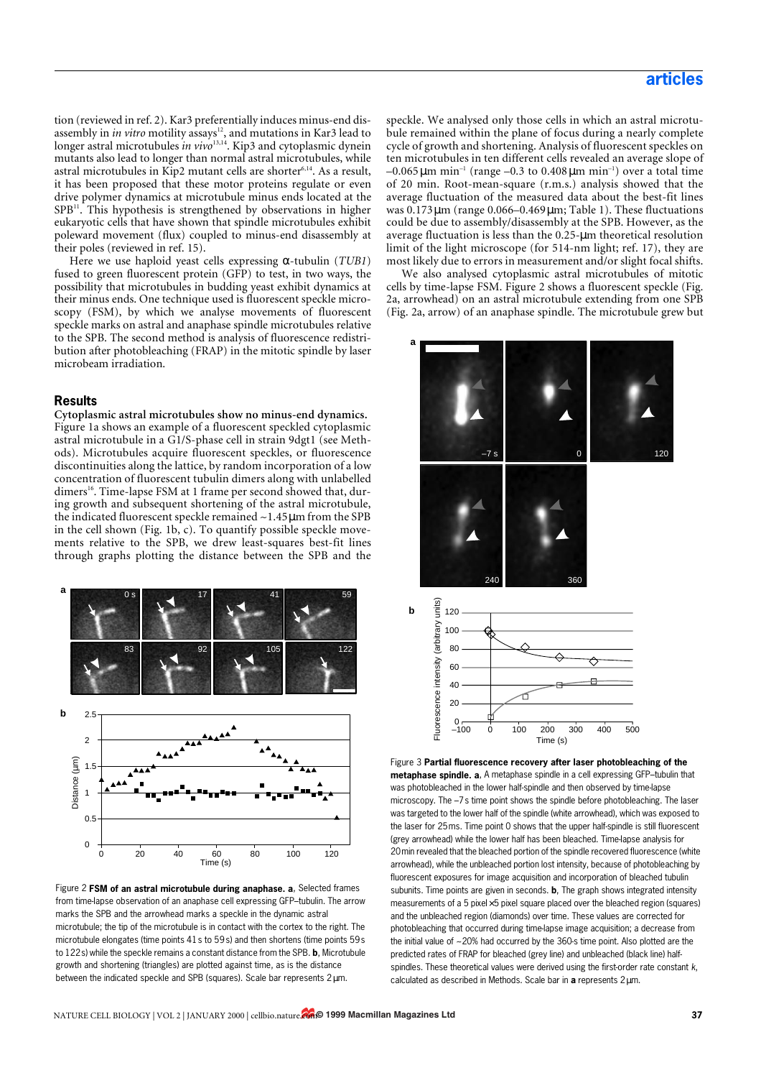tion (reviewed in [ref. 2](#page-5-1)). Kar3 preferentially induces minus-end disassembly in *in vitro* motility assays<sup>12</sup>, and mutations in Kar3 lead to longer astral microtubules *in vivo*<sup>13,14</sup>. Kip3 and cytoplasmic dynein mutants also lead to longer than normal astral microtubules, while astral microtubules in Kip2 mutant cells are shorter<sup>6,14</sup>. As a result, it has been proposed that these motor proteins regulate or even drive polymer dynamics at microtubule minus ends located at the  $SPB<sup>11</sup>$ . This hypothesis is strengthened by observations in higher eukaryotic cells that have shown that spindle microtubules exhibit poleward movement (flux) coupled to minus-end disassembly at their poles (reviewed in [ref. 15](#page-5-2)).

Here we use haploid yeast cells expressing α-tubulin (*TUB1*) fused to green fluorescent protein (GFP) to test, in two ways, the possibility that microtubules in budding yeast exhibit dynamics at their minus ends. One technique used is fluorescent speckle microscopy (FSM), by which we analyse movements of fluorescent speckle marks on astral and anaphase spindle microtubules relative to the SPB. The second method is analysis of fluorescence redistribution after photobleaching (FRAP) in the mitotic spindle by laser microbeam irradiation.

## **Results**

**Cytoplasmic astral microtubules show no minus-end dynamics.** Figure 1a shows an example of a fluorescent speckled cytoplasmic astral microtubule in a G1/S-phase cell in strain 9dgt1 (see Methods). Microtubules acquire fluorescent speckles, or fluorescence discontinuities along the lattice, by random incorporation of a low concentration of fluorescent tubulin dimers along with unlabelled dimers<sup>16</sup>. Time-lapse FSM at 1 frame per second showed that, during growth and subsequent shortening of the astral microtubule, the indicated fluorescent speckle remained ~1.45µm from the SPB in the cell shown (Fig. 1b, c). To quantify possible speckle movements relative to the SPB, we drew least-squares best-fit lines through graphs plotting the distance between the SPB and the



Figure 2 **FSM of an astral microtubule during anaphase. a**, Selected frames from time-lapse observation of an anaphase cell expressing GFP–tubulin. The arrow marks the SPB and the arrowhead marks a speckle in the dynamic astral microtubule; the tip of the microtubule is in contact with the cortex to the right. The microtubule elongates (time points 41s to 59s) and then shortens (time points 59s to 122s) while the speckle remains a constant distance from the SPB. **b**, Microtubule growth and shortening (triangles) are plotted against time, as is the distance between the indicated speckle and SPB (squares). Scale bar represents 2µm.

speckle. We analysed only those cells in which an astral microtubule remained within the plane of focus during a nearly complete cycle of growth and shortening. Analysis of fluorescent speckles on ten microtubules in ten different cells revealed an average slope of  $-0.065 \,\mu m$  min<sup>-1</sup> (range -0.3 to 0.408 $\,\mu$ m min<sup>-1</sup>) over a total time of 20 min. Root-mean-square (r.m.s.) analysis showed that the average fluctuation of the measured data about the best-fit lines was 0.173µm (range 0.066–0.469µm; Table 1). These fluctuations could be due to assembly/disassembly at the SPB. However, as the average fluctuation is less than the 0.25-µm theoretical resolution limit of the light microscope (for 514-nm light; [ref. 17\)](#page-5-3), they are most likely due to errors in measurement and/or slight focal shifts.

We also analysed cytoplasmic astral microtubules of mitotic cells by time-lapse FSM. Figure 2 shows a fluorescent speckle (Fig. 2a, arrowhead) on an astral microtubule extending from one SPB (Fig. 2a, arrow) of an anaphase spindle. The microtubule grew but



Figure 3 **Partial fluorescence recovery after laser photobleaching of the metaphase spindle. a**, A metaphase spindle in a cell expressing GFP–tubulin that was photobleached in the lower half-spindle and then observed by time-lapse microscopy. The  $-7s$  time point shows the spindle before photobleaching. The laser was targeted to the lower half of the spindle (white arrowhead), which was exposed to the laser for 25ms. Time point 0 shows that the upper half-spindle is still fluorescent (grey arrowhead) while the lower half has been bleached. Time-lapse analysis for 20min revealed that the bleached portion of the spindle recovered fluorescence (white arrowhead), while the unbleached portion lost intensity, because of photobleaching by fluorescent exposures for image acquisition and incorporation of bleached tubulin subunits. Time points are given in seconds. **b**, The graph shows integrated intensity measurements of a 5 pixel $\times$ 5 pixel square placed over the bleached region (squares) and the unbleached region (diamonds) over time. These values are corrected for photobleaching that occurred during time-lapse image acquisition; a decrease from the initial value of ~20% had occurred by the 360-s time point. Also plotted are the predicted rates of FRAP for bleached (grey line) and unbleached (black line) halfspindles. These theoretical values were derived using the first-order rate constant *k*, calculated as described in Methods. Scale bar in **a** represents 2µm.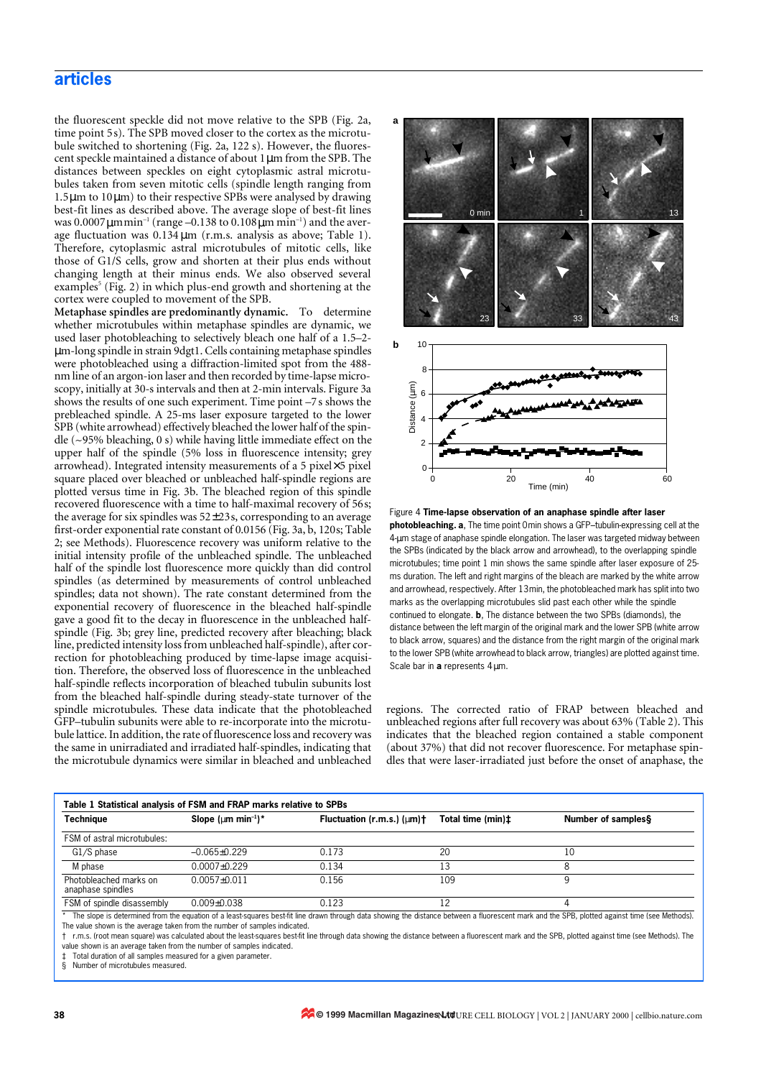# **articles**

the fluorescent speckle did not move relative to the SPB (Fig. 2a, time point 5s). The SPB moved closer to the cortex as the microtubule switched to shortening (Fig. 2a, 122 s). However, the fluorescent speckle maintained a distance of about 1µm from the SPB. The distances between speckles on eight cytoplasmic astral microtubules taken from seven mitotic cells (spindle length ranging from 1.5µm to 10µm) to their respective SPBs were analysed by drawing best-fit lines as described above. The average slope of best-fit lines was  $0.0007 \mu \text{m min}^{-1}$  (range –0.138 to  $0.108 \mu \text{m min}^{-1}$ ) and the average fluctuation was  $0.134 \mu m$  (r.m.s. analysis as above; Table 1). Therefore, cytoplasmic astral microtubules of mitotic cells, like those of G1/S cells, grow and shorten at their plus ends without changing length at their minus ends. We also observed several examples<sup>5</sup> (Fig. 2) in which plus-end growth and shortening at the cortex were coupled to movement of the SPB.

**Metaphase spindles are predominantly dynamic.** To determine whether microtubules within metaphase spindles are dynamic, we used laser photobleaching to selectively bleach one half of a 1.5–2 µm-long spindle in strain 9dgt1. Cells containing metaphase spindles were photobleached using a diffraction-limited spot from the 488 nm line of an argon-ion laser and then recorded by time-lapse microscopy, initially at 30-s intervals and then at 2-min intervals. Figure 3a shows the results of one such experiment. Time point –7 s shows the prebleached spindle. A 25-ms laser exposure targeted to the lower SPB (white arrowhead) effectively bleached the lower half of the spindle (~95% bleaching, 0 s) while having little immediate effect on the upper half of the spindle (5% loss in fluorescence intensity; grey arrowhead). Integrated intensity measurements of a 5 pixel×5 pixel square placed over bleached or unbleached half-spindle regions are plotted versus time in Fig. 3b. The bleached region of this spindle recovered fluorescence with a time to half-maximal recovery of 56s; the average for six spindles was  $52\pm 23$ s, corresponding to an average first-order exponential rate constant of 0.0156 (Fig. 3a, b, 120s; Table 2; see Methods). Fluorescence recovery was uniform relative to the initial intensity profile of the unbleached spindle. The unbleached half of the spindle lost fluorescence more quickly than did control spindles (as determined by measurements of control unbleached spindles; data not shown). The rate constant determined from the exponential recovery of fluorescence in the bleached half-spindle gave a good fit to the decay in fluorescence in the unbleached halfspindle (Fig. 3b; grey line, predicted recovery after bleaching; black line, predicted intensity loss from unbleached half-spindle), after correction for photobleaching produced by time-lapse image acquisition. Therefore, the observed loss of fluorescence in the unbleached half-spindle reflects incorporation of bleached tubulin subunits lost from the bleached half-spindle during steady-state turnover of the spindle microtubules. These data indicate that the photobleached GFP–tubulin subunits were able to re-incorporate into the microtubule lattice. In addition, the rate of fluorescence loss and recovery was the same in unirradiated and irradiated half-spindles, indicating that the microtubule dynamics were similar in bleached and unbleached



Figure 4 **Time-lapse observation of an anaphase spindle after laser photobleaching. a**, The time point 0min shows a GFP–tubulin-expressing cell at the 4-µm stage of anaphase spindle elongation. The laser was targeted midway between the SPBs (indicated by the black arrow and arrowhead), to the overlapping spindle microtubules; time point 1 min shows the same spindle after laser exposure of 25 ms duration. The left and right margins of the bleach are marked by the white arrow and arrowhead, respectively. After 13min, the photobleached mark has split into two marks as the overlapping microtubules slid past each other while the spindle continued to elongate. **b**, The distance between the two SPBs (diamonds), the distance between the left margin of the original mark and the lower SPB (white arrow to black arrow, squares) and the distance from the right margin of the original mark to the lower SPB (white arrowhead to black arrow, triangles) are plotted against time. Scale bar in a represents 4 um.

regions. The corrected ratio of FRAP between bleached and unbleached regions after full recovery was about 63% (Table 2). This indicates that the bleached region contained a stable component (about 37%) that did not recover fluorescence. For metaphase spindles that were laser-irradiated just before the onset of anaphase, the

| Techniaue                                   | Slope ( $\mu$ m min <sup>-1</sup> )* | Fluctuation $(r.m.s.)$ $(\mu m)$ † | Total time (min)‡ | Number of samples§ |
|---------------------------------------------|--------------------------------------|------------------------------------|-------------------|--------------------|
| FSM of astral microtubules:                 |                                      |                                    |                   |                    |
| G1/S phase                                  | $-0.065 + 0.229$                     | 0.173                              | 20                | 10                 |
| M phase                                     | 0.0007±0.229                         | 0.134                              |                   |                    |
| Photobleached marks on<br>anaphase spindles | $0.0057 + 0.011$                     | 0.156                              | 109               |                    |
| FSM of spindle disassembly                  | $0.009 \pm 0.038$                    | 0.123                              | 12                |                    |

\* The slope is determined from the equation of a least-squares best-fit line drawn through data showing the distance between a fluorescent mark and the SPB, plotted against time (see Methods). The value shown is the average taken from the number of samples indicated.

† r.m.s. (root mean square) was calculated about the least-squares best-fit line through data showing the distance between a fluorescent mark and the SPB, plotted against time (see Methods). The value shown is an average taken from the number of samples indicated.

Total duration of all samples measured for a given parameter.

§ Number of microtubules measured.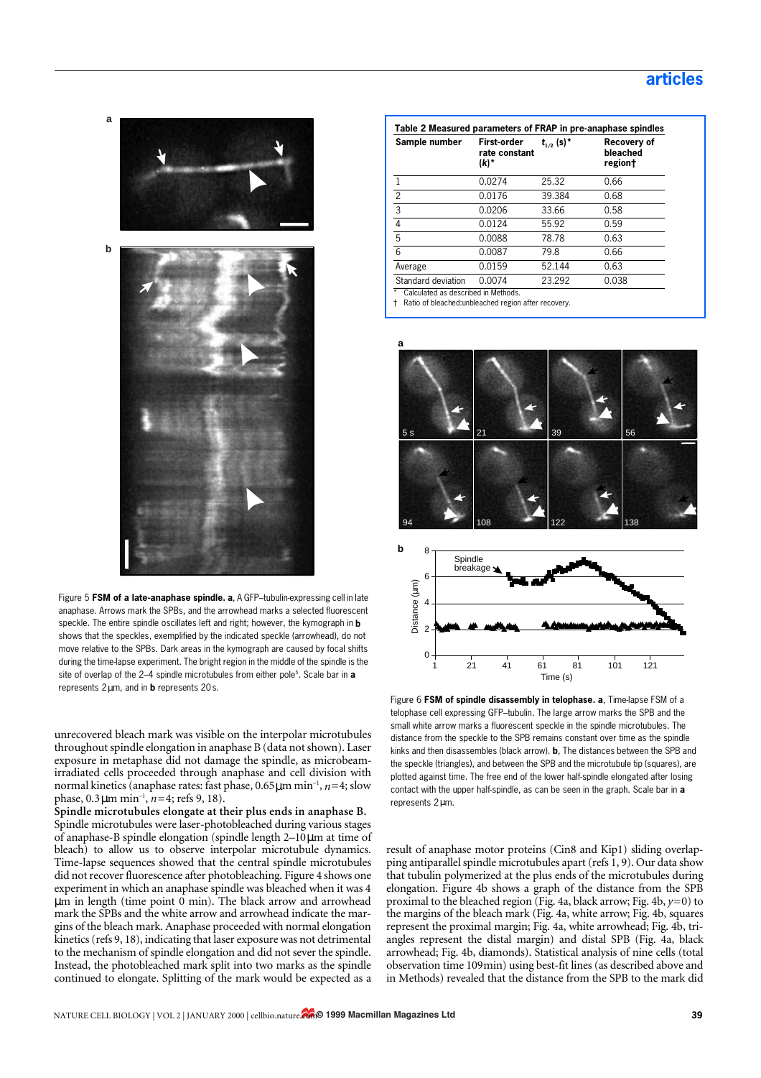

Figure 5 **FSM of a late-anaphase spindle. a**, A GFP–tubulin-expressing cell in late anaphase. Arrows mark the SPBs, and the arrowhead marks a selected fluorescent speckle. The entire spindle oscillates left and right; however, the kymograph in **b** shows that the speckles, exemplified by the indicated speckle (arrowhead), do not move relative to the SPBs. Dark areas in the kymograph are caused by focal shifts during the time-lapse experiment. The bright region in the middle of the spindle is the site of overlap of the 2–4 spindle microtubules from either pole<sup>5</sup>. Scale bar in **a** represents 2µm, and in **b** represents 20s.

unrecovered bleach mark was visible on the interpolar microtubules throughout spindle elongation in anaphase B (data not shown). Laser exposure in metaphase did not damage the spindle, as microbeamirradiated cells proceeded through anaphase and cell division with normal kinetics (anaphase rates: fast phase, 0.65µm min–1, *n*=4; slow phase, 0.3µm min–1, *n*=4; [refs 9,](#page-5-4) [18\)](#page-5-5).

**Spindle microtubules elongate at their plus ends in anaphase B.** Spindle microtubules were laser-photobleached during various stages of anaphase-B spindle elongation (spindle length 2–10µm at time of bleach) to allow us to observe interpolar microtubule dynamics. Time-lapse sequences showed that the central spindle microtubules did not recover fluorescence after photobleaching. Figure 4 shows one experiment in which an anaphase spindle was bleached when it was 4 µm in length (time point 0 min). The black arrow and arrowhead mark the SPBs and the white arrow and arrowhead indicate the margins of the bleach mark. Anaphase proceeded with normal elongation kinetics ([refs 9,](#page-5-4) [18](#page-5-5)), indicating that laser exposure was not detrimental to the mechanism of spindle elongation and did not sever the spindle. Instead, the photobleached mark split into two marks as the spindle continued to elongate. Splitting of the mark would be expected as a

| Table 2 Measured parameters of FRAP in pre-anaphase spindles |                                             |                            |                                    |  |  |
|--------------------------------------------------------------|---------------------------------------------|----------------------------|------------------------------------|--|--|
| Sample number                                                | <b>First-order</b><br>rate constant<br>(k)* | $t_{1/2}$ (s) <sup>*</sup> | Recovery of<br>bleached<br>region† |  |  |
|                                                              | 0.0274                                      | 25.32                      | 0.66                               |  |  |
| $\overline{c}$                                               | 0.0176                                      | 39.384                     | 0.68                               |  |  |
| $\overline{3}$                                               | 0.0206                                      | 33.66                      | 0.58                               |  |  |
| $\overline{4}$                                               | 0.0124                                      | 55.92                      | 0.59                               |  |  |
| 5                                                            | 0.0088                                      | 78.78                      | 0.63                               |  |  |
| 6                                                            | 0.0087                                      | 79.8                       | 0.66                               |  |  |
| Average                                                      | 0.0159                                      | 52.144                     | 0.63                               |  |  |
| Standard deviation                                           | 0.0074                                      | 23.292                     | 0.038                              |  |  |
| Calculated as described in Methods.                          |                                             |                            |                                    |  |  |

† Ratio of bleached:unbleached region after recovery.



Figure 6 **FSM of spindle disassembly in telophase. a**, Time-lapse FSM of a telophase cell expressing GFP–tubulin. The large arrow marks the SPB and the small white arrow marks a fluorescent speckle in the spindle microtubules. The distance from the speckle to the SPB remains constant over time as the spindle kinks and then disassembles (black arrow). **b**, The distances between the SPB and the speckle (triangles), and between the SPB and the microtubule tip (squares), are plotted against time. The free end of the lower half-spindle elongated after losing contact with the upper half-spindle, as can be seen in the graph. Scale bar in **a** represents 2µm.

result of anaphase motor proteins (Cin8 and Kip1) sliding overlapping antiparallel spindle microtubules apart [\(refs 1,](#page-5-0) [9](#page-5-4)). Our data show that tubulin polymerized at the plus ends of the microtubules during elongation. Figure 4b shows a graph of the distance from the SPB proximal to the bleached region (Fig. 4a, black arrow; Fig. 4b, *y*=0) to the margins of the bleach mark (Fig. 4a, white arrow; Fig. 4b, squares represent the proximal margin; Fig. 4a, white arrowhead; Fig. 4b, triangles represent the distal margin) and distal SPB (Fig. 4a, black arrowhead; Fig. 4b, diamonds). Statistical analysis of nine cells (total observation time 109min) using best-fit lines (as described above and in Methods) revealed that the distance from the SPB to the mark did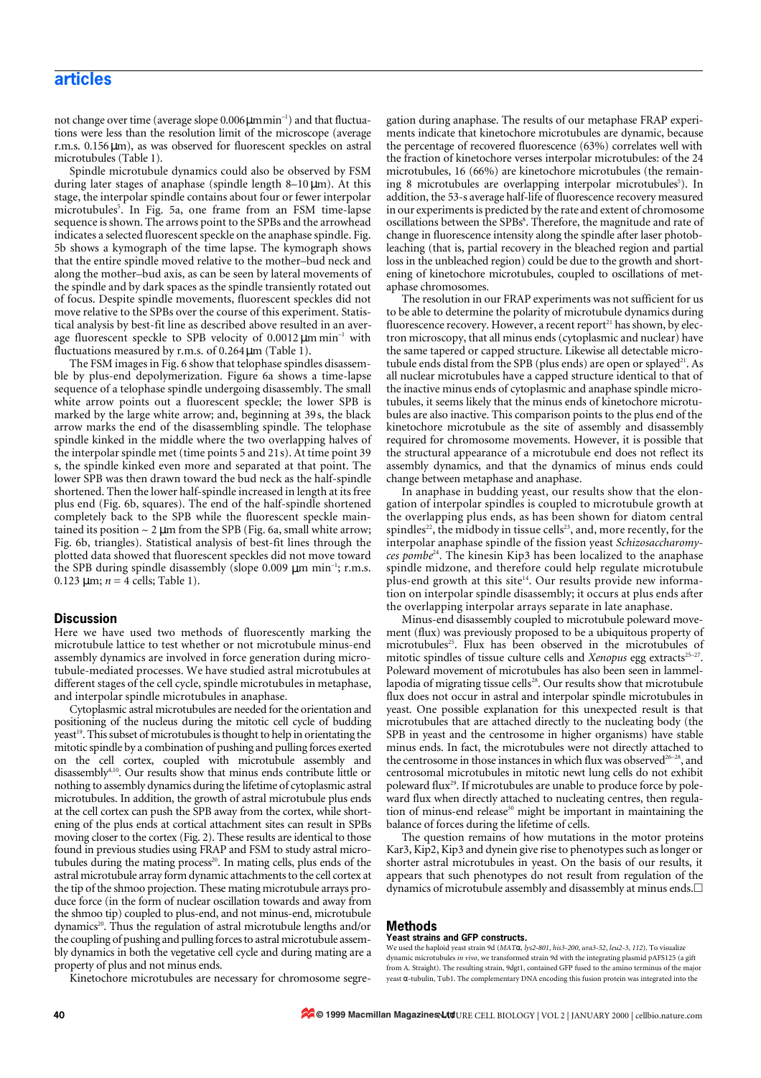## **articles**

not change over time (average slope 0.006μmmin<sup>-1</sup>) and that fluctuations were less than the resolution limit of the microscope (average r.m.s. 0.156µm), as was observed for fluorescent speckles on astral microtubules (Table 1).

Spindle microtubule dynamics could also be observed by FSM during later stages of anaphase (spindle length  $8-10 \,\mu m$ ). At this stage, the interpolar spindle contains about four or fewer interpolar microtubules<sup>5</sup>. In Fig. 5a, one frame from an FSM time-lapse sequence is shown. The arrows point to the SPBs and the arrowhead indicates a selected fluorescent speckle on the anaphase spindle. Fig. 5b shows a kymograph of the time lapse. The kymograph shows that the entire spindle moved relative to the mother–bud neck and along the mother–bud axis, as can be seen by lateral movements of the spindle and by dark spaces as the spindle transiently rotated out of focus. Despite spindle movements, fluorescent speckles did not move relative to the SPBs over the course of this experiment. Statistical analysis by best-fit line as described above resulted in an average fluorescent speckle to SPB velocity of  $0.0012 \,\mu m \,\text{min}^{-1}$  with fluctuations measured by r.m.s. of  $0.264 \,\mathrm{\mu m}$  (Table 1).

The FSM images in Fig. 6 show that telophase spindles disassemble by plus-end depolymerization. Figure 6a shows a time-lapse sequence of a telophase spindle undergoing disassembly. The small white arrow points out a fluorescent speckle; the lower SPB is marked by the large white arrow; and, beginning at 39s, the black arrow marks the end of the disassembling spindle. The telophase spindle kinked in the middle where the two overlapping halves of the interpolar spindle met (time points 5 and 21s). At time point 39 s, the spindle kinked even more and separated at that point. The lower SPB was then drawn toward the bud neck as the half-spindle shortened. Then the lower half-spindle increased in length at its free plus end (Fig. 6b, squares). The end of the half-spindle shortened completely back to the SPB while the fluorescent speckle maintained its position  $\sim 2 \mu m$  from the SPB (Fig. 6a, small white arrow; Fig. 6b, triangles). Statistical analysis of best-fit lines through the plotted data showed that fluorescent speckles did not move toward the SPB during spindle disassembly (slope  $0.009 \mu m \text{ min}^{-1}$ ; r.m.s. 0.123  $\mu$ m; *n* = 4 cells; Table 1).

## **Discussion**

Here we have used two methods of fluorescently marking the microtubule lattice to test whether or not microtubule minus-end assembly dynamics are involved in force generation during microtubule-mediated processes. We have studied astral microtubules at different stages of the cell cycle, spindle microtubules in metaphase, and interpolar spindle microtubules in anaphase.

Cytoplasmic astral microtubules are needed for the orientation and positioning of the nucleus during the mitotic cell cycle of budding yeast<sup>19</sup>. This subset of microtubules is thought to help in orientating the mitotic spindle by a combination of pushing and pulling forces exerted on the cell cortex, coupled with microtubule assembly and disassembly<sup>4,10</sup>. Our results show that minus ends contribute little or nothing to assembly dynamics during the lifetime of cytoplasmic astral microtubules. In addition, the growth of astral microtubule plus ends at the cell cortex can push the SPB away from the cortex, while shortening of the plus ends at cortical attachment sites can result in SPBs moving closer to the cortex (Fig. 2). These results are identical to those found in previous studies using FRAP and FSM to study astral microtubules during the mating process<sup>20</sup>. In mating cells, plus ends of the astral microtubule array form dynamic attachments to the cell cortex at the tip of the shmoo projection. These mating microtubule arrays produce force (in the form of nuclear oscillation towards and away from the shmoo tip) coupled to plus-end, and not minus-end, microtubule dynamics<sup>20</sup>. Thus the regulation of astral microtubule lengths and/or the coupling of pushing and pulling forces to astral microtubule assembly dynamics in both the vegetative cell cycle and during mating are a property of plus and not minus ends.

Kinetochore microtubules are necessary for chromosome segre-

gation during anaphase. The results of our metaphase FRAP experiments indicate that kinetochore microtubules are dynamic, because the percentage of recovered fluorescence (63%) correlates well with the fraction of kinetochore verses interpolar microtubules: of the 24 microtubules, 16 (66%) are kinetochore microtubules (the remaining 8 microtubules are overlapping interpolar microtubules<sup>5</sup>). In addition, the 53-s average half-life of fluorescence recovery measured in our experiments is predicted by the rate and extent of chromosome oscillations between the SPBs<sup>8</sup>. Therefore, the magnitude and rate of change in fluorescence intensity along the spindle after laser photobleaching (that is, partial recovery in the bleached region and partial loss in the unbleached region) could be due to the growth and shortening of kinetochore microtubules, coupled to oscillations of metaphase chromosomes.

The resolution in our FRAP experiments was not sufficient for us to be able to determine the polarity of microtubule dynamics during fluorescence recovery. However, a recent report<sup>21</sup> has shown, by electron microscopy, that all minus ends (cytoplasmic and nuclear) have the same tapered or capped structure. Likewise all detectable microtubule ends distal from the SPB (plus ends) are open or splayed<sup>21</sup>. As all nuclear microtubules have a capped structure identical to that of the inactive minus ends of cytoplasmic and anaphase spindle microtubules, it seems likely that the minus ends of kinetochore microtubules are also inactive. This comparison points to the plus end of the kinetochore microtubule as the site of assembly and disassembly required for chromosome movements. However, it is possible that the structural appearance of a microtubule end does not reflect its assembly dynamics, and that the dynamics of minus ends could change between metaphase and anaphase.

In anaphase in budding yeast, our results show that the elongation of interpolar spindles is coupled to microtubule growth at the overlapping plus ends, as has been shown for diatom central spindles<sup>22</sup>, the midbody in tissue cells<sup>23</sup>, and, more recently, for the interpolar anaphase spindle of the fission yeast *Schizosaccharomyces pombe*24. The kinesin Kip3 has been localized to the anaphase spindle midzone, and therefore could help regulate microtubule plus-end growth at this site<sup>14</sup>. Our results provide new information on interpolar spindle disassembly; it occurs at plus ends after the overlapping interpolar arrays separate in late anaphase.

Minus-end disassembly coupled to microtubule poleward movement (flux) was previously proposed to be a ubiquitous property of microtubules<sup>25</sup>. Flux has been observed in the microtubules of mitotic spindles of tissue culture cells and *Xenopus* egg extracts<sup>25-27</sup>. Poleward movement of microtubules has also been seen in lammellapodia of migrating tissue cells<sup>28</sup>. Our results show that microtubule flux does not occur in astral and interpolar spindle microtubules in yeast. One possible explanation for this unexpected result is that microtubules that are attached directly to the nucleating body (the SPB in yeast and the centrosome in higher organisms) have stable minus ends. In fact, the microtubules were not directly attached to the centrosome in those instances in which flux was observed<sup>26-28</sup>, and centrosomal microtubules in mitotic newt lung cells do not exhibit poleward flux<sup>29</sup>. If microtubules are unable to produce force by poleward flux when directly attached to nucleating centres, then regulation of minus-end release<sup>30</sup> might be important in maintaining the balance of forces during the lifetime of cells.

The question remains of how mutations in the motor proteins Kar3, Kip2, Kip3 and dynein give rise to phenotypes such as longer or shorter astral microtubules in yeast. On the basis of our results, it appears that such phenotypes do not result from regulation of the dynamics of microtubule assembly and disassembly at minus ends. $\Box$ 

## **Methods**

#### **Yeast strains and GFP constructs.**

We used the haploid yeast strain 9d (*MAT*α, *lys2-801*, *his3-200*, *ura3-52*, *leu2-3*, *112*). To visualize dynamic microtubules *in vivo*, we transformed strain 9d with the integrating plasmid pAFS125 (a gift from A. Straight). The resulting strain, 9dgt1, contained GFP fused to the amino terminus of the major yeast α-tubulin, Tub1. The complementary DNA encoding this fusion protein was integrated into the